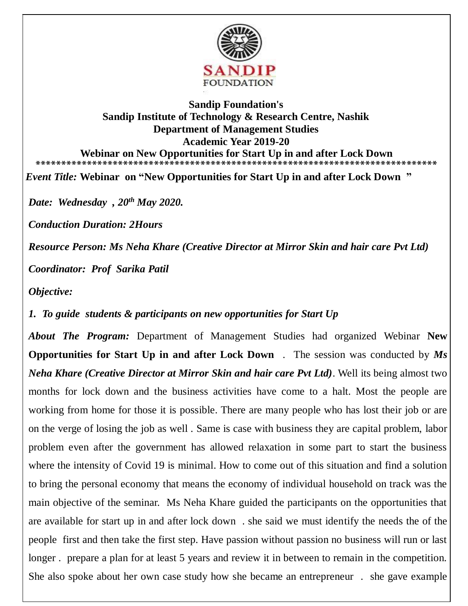

## **Sandip Foundation's Sandip Institute of Technology & Research Centre, Nashik Department of Management Studies Academic Year 2019-20 Webinar on New Opportunities for Start Up in and after Lock Down \*\*\*\*\*\*\*\*\*\*\*\*\*\*\*\*\*\*\*\*\*\*\*\*\*\*\*\*\*\*\*\*\*\*\*\*\*\*\*\*\*\*\*\*\*\*\*\*\*\*\*\*\*\*\*\*\*\*\*\*\*\*\*\*\*\*\*\*\*\*\*\*\*\*\*\*\*\***

*Event Title:* **Webinar on "New Opportunities for Start Up in and after Lock Down "**

*Date: Wednesday , 20th May 2020.*

*Conduction Duration: 2Hours* 

*Resource Person: Ms Neha Khare (Creative Director at Mirror Skin and hair care Pvt Ltd)*

*Coordinator: Prof Sarika Patil* 

*Objective:*

*1. To guide students & participants on new opportunities for Start Up* 

*About The Program:* Department of Management Studies had organized Webinar **New Opportunities for Start Up in and after Lock Down** . The session was conducted by *Ms Neha Khare (Creative Director at Mirror Skin and hair care Pvt Ltd)*. Well its being almost two months for lock down and the business activities have come to a halt. Most the people are working from home for those it is possible. There are many people who has lost their job or are on the verge of losing the job as well . Same is case with business they are capital problem, labor problem even after the government has allowed relaxation in some part to start the business where the intensity of Covid 19 is minimal. How to come out of this situation and find a solution to bring the personal economy that means the economy of individual household on track was the main objective of the seminar. Ms Neha Khare guided the participants on the opportunities that are available for start up in and after lock down . she said we must identify the needs the of the people first and then take the first step. Have passion without passion no business will run or last longer . prepare a plan for at least 5 years and review it in between to remain in the competition. She also spoke about her own case study how she became an entrepreneur . she gave example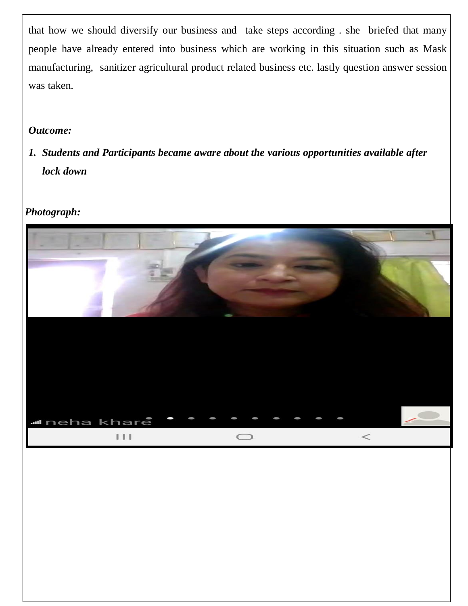that how we should diversify our business and take steps according . she briefed that many people have already entered into business which are working in this situation such as Mask manufacturing, sanitizer agricultural product related business etc. lastly question answer session was taken.

## *Outcome:*

*1. Students and Participants became aware about the various opportunities available after lock down* 

## *Photograph:*